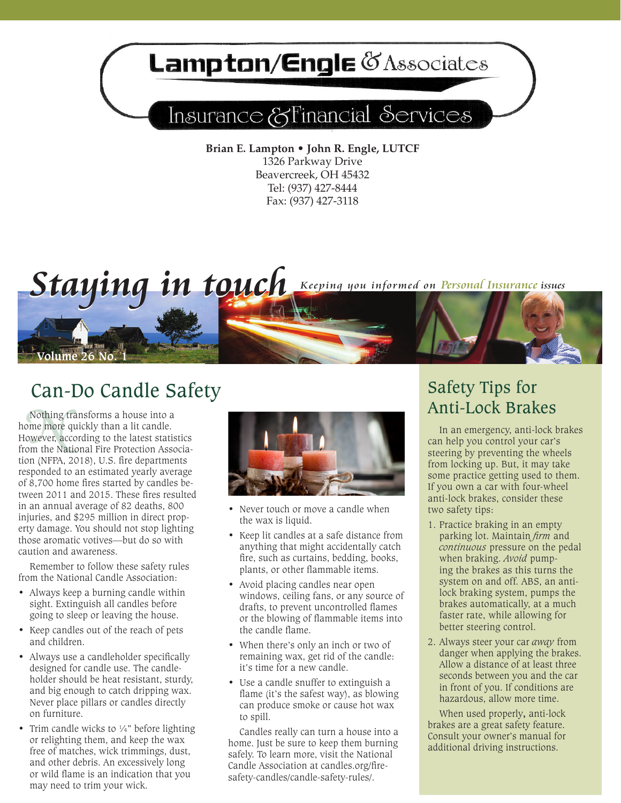## Lampton/Engle & Associates

## Insurance & Financial Services

**Brian E. Lampton • John R. Engle, LUTCF** 1326 Parkway Drive Beavercreek, OH 45432 Tel: (937) 427-8444 Fax: (937) 427-3118



## Can-Do Candle Safety<br>
Anti-Lock Brakes

Nothing to<br>
ne more<br>
owever, ac<br>
om the Na Nothing transforms a house into a home more quickly than a lit candle. However, according to the latest statistics from the National Fire Protection Association (NFPA, 2018), U.S. fire departments responded to an estimated yearly average of 8,700 home fires started by candles between 2011 and 2015. These fires resulted in an annual average of 82 deaths, 800 injuries, and \$295 million in direct property damage. You should not stop lighting those aromatic votives—but do so with caution and awareness.

Remember to follow these safety rules from the National Candle Association:

- Always keep a burning candle within sight. Extinguish all candles before going to sleep or leaving the house.
- • Keep candles out of the reach of pets and children.
- Always use a candleholder specifically designed for candle use. The candleholder should be heat resistant, sturdy, and big enough to catch dripping wax. Never place pillars or candles directly on furniture.
- Trim candle wicks to  $\frac{1}{4}$ " before lighting or relighting them, and keep the wax free of matches, wick trimmings, dust, and other debris. An excessively long or wild flame is an indication that you may need to trim your wick.



- Never touch or move a candle when the wax is liquid.
- • Keep lit candles at a safe distance from anything that might accidentally catch fire, such as curtains, bedding, books, plants, or other flammable items.
- Avoid placing candles near open windows, ceiling fans, or any source of drafts, to prevent uncontrolled flames or the blowing of flammable items into the candle flame.
- When there's only an inch or two of remaining wax, get rid of the candle: it's time for a new candle.
- • Use a candle snuffer to extinguish a flame (it's the safest way), as blowing can produce smoke or cause hot wax to spill.

Candles really can turn a house into a home. Just be sure to keep them burning safely. To learn more, visit the National Candle Association at candles.org/firesafety-candles/candle-safety-rules/.

# Safety Tips for

In an emergency, anti-lock brakes can help you control your car's steering by preventing the wheels from locking up. But, it may take some practice getting used to them. If you own a car with four-wheel anti-lock brakes, consider these two safety tips:

- 1. Practice braking in an empty parking lot. Maintain *firm* and *continuous* pressure on the pedal when braking. *Avoid* pumping the brakes as this turns the system on and off. ABS, an antilock braking system, pumps the brakes automatically, at a much faster rate, while allowing for better steering control.
- 2. Always steer your car *away* from danger when applying the brakes. Allow a distance of at least three seconds between you and the car in front of you. If conditions are hazardous, allow more time.

When used properly**,** anti-lock brakes are a great safety feature. Consult your owner's manual for additional driving instructions.